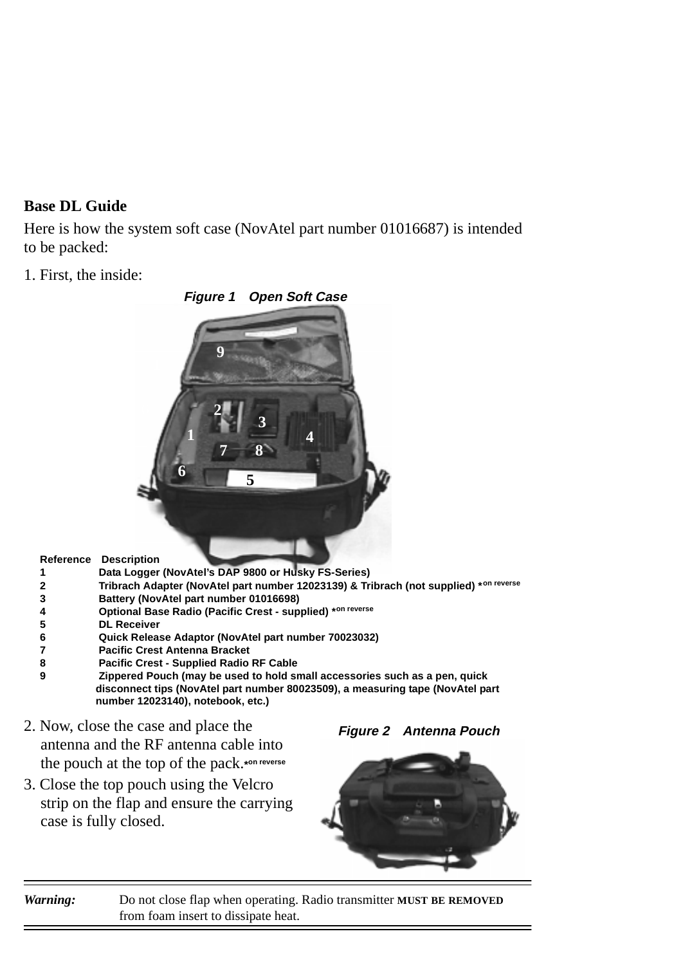## **Base DL Guide**

Here is how the system soft case (NovAtel part number 01016687) is intended to be packed:

1. First, the inside:



- **Reference Description**
- **1 Data Logger (NovAtel's DAP 9800 or Husky FS-Series)**
- **2 Tribrach Adapter (NovAtel part number 12023139) & Tribrach (not supplied) \*on reverse**
- **3 Battery (NovAtel part number 01016698)**
- **4 Optional Base Radio (Pacific Crest supplied) \*on reverse**
- **5 DL Receiver**
- **6 Quick Release Adaptor (NovAtel part number 70023032)**
- **7 Pacific Crest Antenna Bracket**
- **8 Pacific Crest Supplied Radio RF Cable**
- **9 Zippered Pouch (may be used to hold small accessories such as a pen, quick disconnect tips (NovAtel part number 80023509), a measuring tape (NovAtel part number 12023140), notebook, etc.)**
- 2. Now, close the case and place the antenna and the RF antenna cable into the pouch at the top of the pack.**\*on reverse**
- 3. Close the top pouch using the Velcro strip on the flap and ensure the carrying case is fully closed.

**Figure 2 Antenna Pouch**



*Warning:* Do not close flap when operating. Radio transmitter **MUST BE REMOVED** from foam insert to dissipate heat.